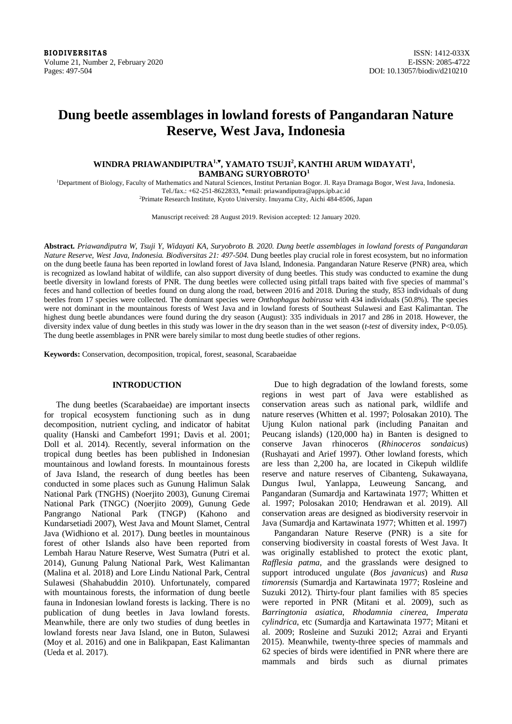**BIODIVERSITAS** ISSN: 1412-033X Volume 21, Number 2, February 2020<br>
Pages: 497-504<br>
DOI: 10.13057/biodiv/d210210

# **Dung beetle assemblages in lowland forests of Pangandaran Nature Reserve, West Java, Indonesia**

# **WINDRA PRIAWANDIPUTRA1,♥ , YAMATO TSUJI<sup>2</sup> , KANTHI ARUM WIDAYATI<sup>1</sup> , BAMBANG SURYOBROTO<sup>1</sup>**

<sup>1</sup>Department of Biology, Faculty of Mathematics and Natural Sciences, Institut Pertanian Bogor. Jl. Raya Dramaga Bogor, West Java, Indonesia. Tel./fax.: +62-251-8622833, "email: [priawandiputra@apps.ipb.ac.id](mailto:priawandiputra@apps.ipb.ac.id)

<sup>2</sup>Primate Research Institute, Kyoto University. Inuyama City, Aichi 484-8506, Japan

Manuscript received: 28 August 2019. Revision accepted: 12 January 2020.

Abstract. Priawandiputra W, Tsuji Y, Widayati KA, Suryobroto B, 2020. Dung beetle assemblages in lowland forests of Pangandaran *Nature Reserve, West Java, Indonesia. Biodiversitas 21: 497-504.* Dung beetles play crucial role in forest ecosystem, but no information on the dung beetle fauna has been reported in lowland forest of Java Island, Indonesia. Pangandaran Nature Reserve (PNR) area, which is recognized as lowland habitat of wildlife, can also support diversity of dung beetles. This study was conducted to examine the dung beetle diversity in lowland forests of PNR. The dung beetles were collected using pitfall traps baited with five species of mammal's feces and hand collection of beetles found on dung along the road, between 2016 and 2018. During the study, 853 individuals of dung beetles from 17 species were collected. The dominant species were *Onthophagus babirussa* with 434 individuals (50.8%). The species were not dominant in the mountainous forests of West Java and in lowland forests of Southeast Sulawesi and East Kalimantan. The highest dung beetle abundances were found during the dry season (August): 335 individuals in 2017 and 286 in 2018. However, the diversity index value of dung beetles in this study was lower in the dry season than in the wet season (*t-test* of diversity index, P<0.05). The dung beetle assemblages in PNR were barely similar to most dung beetle studies of other regions.

**Keywords:** Conservation, decomposition, tropical, forest, seasonal, Scarabaeidae

# **INTRODUCTION**

The dung beetles (Scarabaeidae) are important insects for tropical ecosystem functioning such as in dung decomposition, nutrient cycling, and indicator of habitat quality (Hanski and Cambefort 1991; Davis et al. 2001; Doll et al. 2014). Recently, several information on the tropical dung beetles has been published in Indonesian mountainous and lowland forests. In mountainous forests of Java Island, the research of dung beetles has been conducted in some places such as Gunung Halimun Salak National Park (TNGHS) (Noerjito 2003), Gunung Ciremai National Park (TNGC) (Noerjito 2009), Gunung Gede Pangrango National Park (TNGP) (Kahono and Kundarsetiadi 2007), West Java and Mount Slamet, Central Java (Widhiono et al*.* 2017). Dung beetles in mountainous forest of other Islands also have been reported from Lembah Harau Nature Reserve, West Sumatra (Putri et al. 2014), Gunung Palung National Park, West Kalimantan (Malina et al. 2018) and Lore Lindu National Park, Central Sulawesi (Shahabuddin 2010). Unfortunately, compared with mountainous forests, the information of dung beetle fauna in Indonesian lowland forests is lacking. There is no publication of dung beetles in Java lowland forests. Meanwhile, there are only two studies of dung beetles in lowland forests near Java Island, one in Buton, Sulawesi (Moy et al. 2016) and one in Balikpapan, East Kalimantan (Ueda et al. 2017).

Due to high degradation of the lowland forests, some regions in west part of Java were established as conservation areas such as national park, wildlife and nature reserves (Whitten et al. 1997; Polosakan 2010). The Ujung Kulon national park (including Panaitan and Peucang islands) (120,000 ha) in Banten is designed to conserve Javan rhinoceros (*Rhinoceros sondaicus*) (Rushayati and Arief 1997). Other lowland forests, which are less than 2,200 ha, are located in Cikepuh wildlife reserve and nature reserves of Cibanteng, Sukawayana, Dungus Iwul, Yanlappa, Leuweung Sancang, and Pangandaran (Sumardja and Kartawinata 1977; Whitten et al. 1997; Polosakan 2010; Hendrawan et al. 2019). All conservation areas are designed as biodiversity reservoir in Java (Sumardja and Kartawinata 1977; Whitten et al. 1997)

Pangandaran Nature Reserve (PNR) is a site for conserving biodiversity in coastal forests of West Java. It was originally established to protect the exotic plant, *Rafflesia patma*, and the grasslands were designed to support introduced ungulate (*Bos javanicus*) and *Rusa timorensis* (Sumardja and Kartawinata 1977; Rosleine and Suzuki 2012). Thirty-four plant families with 85 species were reported in PNR (Mitani et al. 2009), such as *Barringtonia asiatica*, *Rhodamnia cinerea*, *Imperata cylindrica*, etc (Sumardja and Kartawinata 1977; Mitani et al. 2009; Rosleine and Suzuki 2012; Azrai and Eryanti 2015). Meanwhile, twenty-three species of mammals and 62 species of birds were identified in PNR where there are mammals and birds such as diurnal primates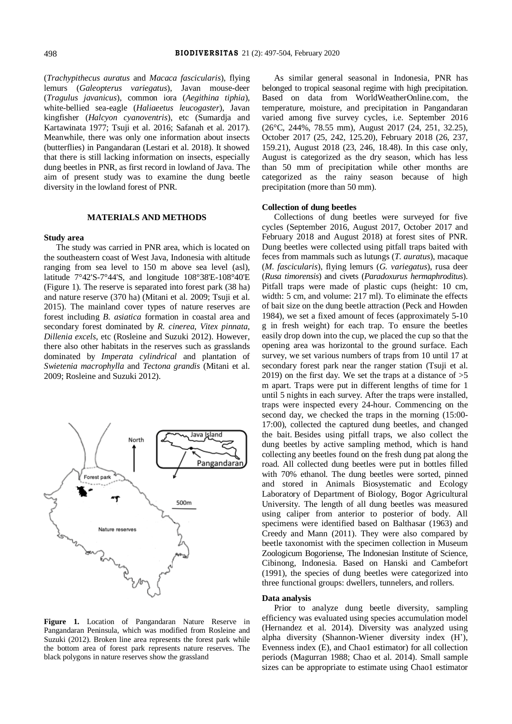(*Trachypithecus auratus* and *Macaca fascicularis*), flying lemurs (*Galeopterus variegatus*), Javan mouse-deer (*Tragulus javanicus*), common iora (*Aegithina tiphia*), white-bellied sea-eagle (*Haliaeetus leucogaster*), Javan kingfisher (*Halcyon cyanoventris*), etc (Sumardja and Kartawinata 1977; Tsuji et al. 2016; Safanah et al. 2017). Meanwhile, there was only one information about insects (butterflies) in Pangandaran (Lestari et al. 2018). It showed that there is still lacking information on insects, especially dung beetles in PNR, as first record in lowland of Java. The aim of present study was to examine the dung beetle diversity in the lowland forest of PNR.

### **MATERIALS AND METHODS**

#### **Study area**

The study was carried in PNR area, which is located on the southeastern coast of West Java, Indonesia with altitude ranging from sea level to 150 m above sea level (asl), latitude 7°42'S-7°44'S, and longitude 108°38'E-108°40'E (Figure 1). The reserve is separated into forest park (38 ha) and nature reserve (370 ha) (Mitani et al. 2009; Tsuji et al. 2015). The mainland cover types of nature reserves are forest including *B. asiatica* formation in coastal area and secondary forest dominated by *R. cinerea*, *Vitex pinnata*, *Dillenia excels*, etc (Rosleine and Suzuki 2012). However, there also other habitats in the reserves such as grasslands dominated by *Imperata cylindrical* and plantation of *Swietenia macrophylla* and *Tectona grandis* (Mitani et al. 2009; Rosleine and Suzuki 2012).



**Figure 1.** Location of Pangandaran Nature Reserve in Pangandaran Peninsula, which was modified from Rosleine and Suzuki (2012). Broken line area represents the forest park while the bottom area of forest park represents nature reserves. The black polygons in nature reserves show the grassland

As similar general seasonal in Indonesia, PNR has belonged to tropical seasonal regime with high precipitation. Based on data from WorldWeatherOnline.com, the temperature, moisture, and precipitation in Pangandaran varied among five survey cycles, i.e. September 2016 (26°C, 244%, 78.55 mm), August 2017 (24, 251, 32.25), October 2017 (25, 242, 125.20), February 2018 (26, 237, 159.21), August 2018 (23, 246, 18.48). In this case only, August is categorized as the dry season, which has less than 50 mm of precipitation while other months are categorized as the rainy season because of high precipitation (more than 50 mm).

## **Collection of dung beetles**

Collections of dung beetles were surveyed for five cycles (September 2016, August 2017, October 2017 and February 2018 and August 2018) at forest sites of PNR. Dung beetles were collected using pitfall traps baited with feces from mammals such as lutungs (*T. auratus*), macaque (*M. fascicularis*), flying lemurs (*G. variegatus*), rusa deer (*Rusa timorensis*) and civets (*Paradoxurus hermaphroditus*). Pitfall traps were made of plastic cups (height: 10 cm, width: 5 cm, and volume: 217 ml). To eliminate the effects of bait size on the dung beetle attraction (Peck and Howden 1984), we set a fixed amount of feces (approximately 5-10 g in fresh weight) for each trap. To ensure the beetles easily drop down into the cup, we placed the cup so that the opening area was horizontal to the ground surface. Each survey, we set various numbers of traps from 10 until 17 at secondary forest park near the ranger station (Tsuji et al. 2019) on the first day. We set the traps at a distance of  $>5$ m apart. Traps were put in different lengths of time for 1 until 5 nights in each survey. After the traps were installed, traps were inspected every 24-hour. Commencing on the second day, we checked the traps in the morning (15:00- 17:00), collected the captured dung beetles, and changed the bait. Besides using pitfall traps, we also collect the dung beetles by active sampling method, which is hand collecting any beetles found on the fresh dung pat along the road. All collected dung beetles were put in bottles filled with 70% ethanol. The dung beetles were sorted, pinned and stored in Animals Biosystematic and Ecology Laboratory of Department of Biology, Bogor Agricultural University. The length of all dung beetles was measured using caliper from anterior to posterior of body. All specimens were identified based on Balthasar (1963) and Creedy and Mann (2011). They were also compared by beetle taxonomist with the specimen collection in Museum Zoologicum Bogoriense, The Indonesian Institute of Science, Cibinong, Indonesia. Based on Hanski and Cambefort (1991), the species of dung beetles were categorized into three functional groups: dwellers, tunnelers, and rollers.

## **Data analysis**

Prior to analyze dung beetle diversity, sampling efficiency was evaluated using species accumulation model (Hernandez et al. 2014). Diversity was analyzed using alpha diversity (Shannon-Wiener diversity index (H'), Evenness index (E), and Chao1 estimator) for all collection periods (Magurran 1988; Chao et al. 2014). Small sample sizes can be appropriate to estimate using Chao1 estimator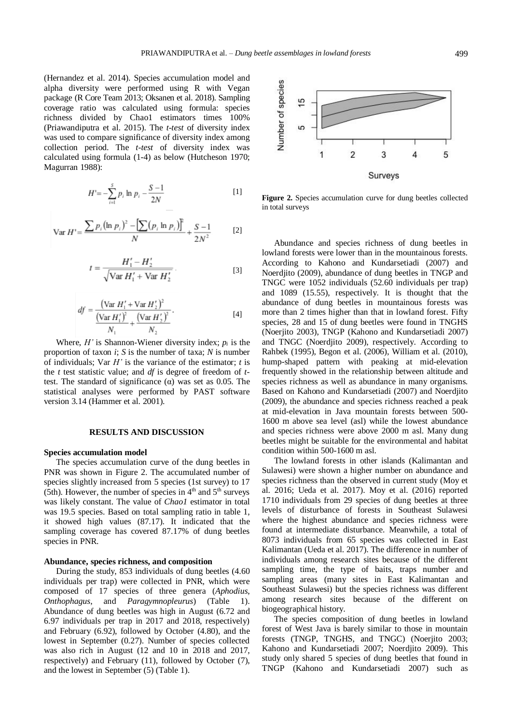(Hernandez et al. 2014). Species accumulation model and alpha diversity were performed using R with Vegan package (R Core Team 2013; Oksanen et al. 2018). Sampling coverage ratio was calculated using formula: species richness divided by Chao1 estimators times 100% (Priawandiputra et al. 2015). The *t-test* of diversity index was used to compare significance of diversity index among collection period. The *t-test* of diversity index was calculated using formula (1-4) as below (Hutcheson 1970; Magurran 1988):

$$
H' = -\sum_{i=1}^{S} p_i \ln p_i - \frac{S-1}{2N} \tag{1}
$$

$$
\text{Var } H' = \frac{\sum p_i (\ln p_i)^2 - \left[\sum (p_i \ln p_i)\right]^2}{N} + \frac{S - 1}{2N^2} \tag{2}
$$

$$
t = \frac{H_1' - H_2'}{\sqrt{\text{Var } H_1' + \text{Var } H_2'}}.
$$
 [3]

$$
df = \frac{(\text{Var } H_1' + \text{Var } H_2')^2}{\frac{(\text{Var } H_1')^2}{N_1} + \frac{(\text{Var } H_2')^2}{N_2}}.
$$
 [4]

Where,  $H'$  is Shannon-Wiener diversity index;  $p_i$  is the proportion of taxon *i*; *S* is the number of taxa; *N* is number of individuals; Var *H'* is the variance of the estimator; *t* is the *t* test statistic value; and *df* is degree of freedom of *t*test. The standard of significance  $(\alpha)$  was set as 0.05. The statistical analyses were performed by PAST software version 3.14 (Hammer et al. 2001).

#### **RESULTS AND DISCUSSION**

## **Species accumulation model**

The species accumulation curve of the dung beetles in PNR was shown in Figure 2. The accumulated number of species slightly increased from 5 species (1st survey) to 17 (5th). However, the number of species in  $4<sup>th</sup>$  and  $5<sup>th</sup>$  surveys was likely constant. The value of *Chao1* estimator in total was 19.5 species. Based on total sampling ratio in table 1, it showed high values (87.17). It indicated that the sampling coverage has covered 87.17% of dung beetles species in PNR.

## **Abundance, species richness, and composition**

During the study, 853 individuals of dung beetles (4.60 individuals per trap) were collected in PNR, which were composed of 17 species of three genera (*Aphodius*, *Onthophagus*, and *Paragymnopleurus*) (Table 1). Abundance of dung beetles was high in August (6.72 and 6.97 individuals per trap in 2017 and 2018, respectively) and February (6.92), followed by October (4.80), and the lowest in September (0.27). Number of species collected was also rich in August (12 and 10 in 2018 and 2017, respectively) and February (11), followed by October (7), and the lowest in September (5) (Table 1).



**Figure 2.** Species accumulation curve for dung beetles collected in total surveys

Abundance and species richness of dung beetles in lowland forests were lower than in the mountainous forests. According to Kahono and Kundarsetiadi (2007) and Noerdjito (2009), abundance of dung beetles in TNGP and TNGC were 1052 individuals (52.60 individuals per trap) and 1089 (15.55), respectively. It is thought that the abundance of dung beetles in mountainous forests was more than 2 times higher than that in lowland forest. Fifty species, 28 and 15 of dung beetles were found in TNGHS (Noerjito 2003), TNGP (Kahono and Kundarsetiadi 2007) and TNGC (Noerdjito 2009), respectively. According to Rahbek (1995), Begon et al. (2006), William et al. (2010), hump-shaped pattern with peaking at mid-elevation frequently showed in the relationship between altitude and species richness as well as abundance in many organisms. Based on Kahono and Kundarsetiadi (2007) and Noerdjito (2009), the abundance and species richness reached a peak at mid-elevation in Java mountain forests between 500- 1600 m above sea level (asl) while the lowest abundance and species richness were above 2000 m asl. Many dung beetles might be suitable for the environmental and habitat condition within 500-1600 m asl.

The lowland forests in other islands (Kalimantan and Sulawesi) were shown a higher number on abundance and species richness than the observed in current study (Moy et al. 2016; Ueda et al. 2017). Moy et al. (2016) reported 1710 individuals from 29 species of dung beetles at three levels of disturbance of forests in Southeast Sulawesi where the highest abundance and species richness were found at intermediate disturbance. Meanwhile, a total of 8073 individuals from 65 species was collected in East Kalimantan (Ueda et al. 2017). The difference in number of individuals among research sites because of the different sampling time, the type of baits, traps number and sampling areas (many sites in East Kalimantan and Southeast Sulawesi) but the species richness was different among research sites because of the different on biogeographical history.

The species composition of dung beetles in lowland forest of West Java is barely similar to those in mountain forests (TNGP, TNGHS, and TNGC) (Noerjito 2003; Kahono and Kundarsetiadi 2007; Noerdjito 2009). This study only shared 5 species of dung beetles that found in TNGP (Kahono and Kundarsetiadi 2007) such as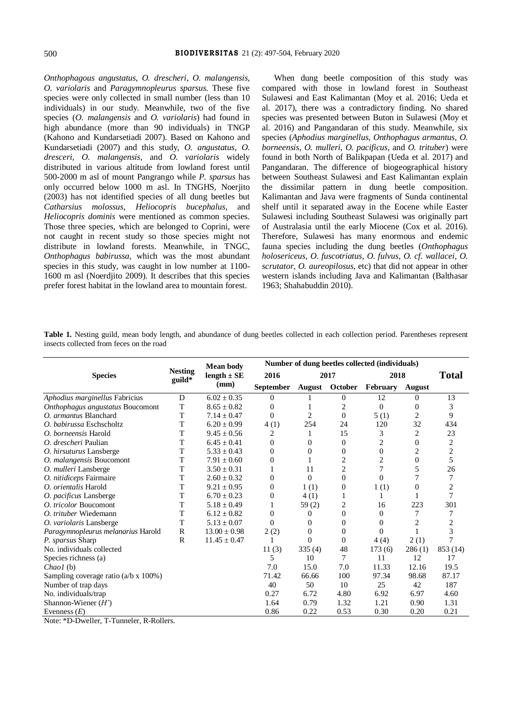*Onthophagous angustatus*, *O. drescheri*, *O. malangensis*, *O. variolaris* and *Paragymnopleurus sparsus.* These five species were only collected in small number (less than 10 individuals) in our study. Meanwhile, two of the five species (*O. malangensis* and *O. variolaris*) had found in high abundance (more than 90 individuals) in TNGP (Kahono and Kundarsetiadi 2007). Based on Kahono and Kundarsetiadi (2007) and this study, *O. angustatus, O. dresceri, O. malangensis,* and *O. variolaris* widely distributed in various altitude from lowland forest until 500-2000 m asl of mount Pangrango while *P. sparsus* has only occurred below 1000 m asl. In TNGHS, Noerjito (2003) has not identified species of all dung beetles but *Catharsius molossus*, *Heliocopris bucephalus*, and *Heliocopris dominis* were mentioned as common species. Those three species, which are belonged to Coprini, were not caught in recent study so those species might not distribute in lowland forests. Meanwhile, in TNGC, *Onthophagus babirussa*, which was the most abundant species in this study, was caught in low number at 1100- 1600 m asl (Noerdjito 2009). It describes that this species prefer forest habitat in the lowland area to mountain forest.

When dung beetle composition of this study was compared with those in lowland forest in Southeast Sulawesi and East Kalimantan (Moy et al. 2016; Ueda et al. 2017), there was a contradictory finding. No shared species was presented between Buton in Sulawesi (Moy et al. 2016) and Pangandaran of this study. Meanwhile, six species (*Aphodius marginellus*, *Onthophagus armantus*, *O. borneensis*, *O. mulleri*, *O. pacificus*, and *O. trituber*) were found in both North of Balikpapan (Ueda et al. 2017) and Pangandaran. The difference of biogeographical history between Southeast Sulawesi and East Kalimantan explain the dissimilar pattern in dung beetle composition. Kalimantan and Java were fragments of Sunda continental shelf until it separated away in the Eocene while Easter Sulawesi including Southeast Sulawesi was originally part of Australasia until the early Miocene (Cox et al. 2016). Therefore, Sulawesi has many enormous and endemic fauna species including the dung beetles (*Onthophagus holosericeus*, *O. fuscotriatus*, *O. fulvus*, *O. cf. wallacei*, *O. scrutator*, *O. aureopilosus*, etc) that did not appear in other western islands including Java and Kalimantan (Balthasar 1963; Shahabuddin 2010).

**Table 1.** Nesting guild, mean body length, and abundance of dung beetles collected in each collection period. Parentheses represent insects collected from feces on the road

|                                              | <b>Nesting</b><br>guild* | <b>Mean body</b><br>length $\pm$ SE | Number of dung beetles collected (individuals) |          |                |          |                |                |
|----------------------------------------------|--------------------------|-------------------------------------|------------------------------------------------|----------|----------------|----------|----------------|----------------|
| <b>Species</b>                               |                          |                                     | 2016                                           | 2017     |                | 2018     |                | <b>Total</b>   |
|                                              |                          | (mm)                                | <b>September</b>                               |          | August October | February | August         |                |
| Aphodius marginellus Fabricius               | D                        | $6.02 \pm 0.35$                     | 0                                              |          | $\Omega$       | 12       | $\Omega$       | 13             |
| Onthophagus angustatus Boucomont             | T                        | $8.65 \pm 0.82$                     | $\overline{0}$                                 |          | 2              | $\Omega$ | $\Omega$       | 3              |
| O. armantus Blanchard                        | T                        | $7.14 \pm 0.47$                     | $\overline{0}$                                 | 2        | $\theta$       | 5(1)     | $\overline{c}$ | 9              |
| O. babirussa Eschscholtz                     | T                        | $6.20 \pm 0.99$                     | 4(1)                                           | 254      | 24             | 120      | 32             | 434            |
| O. borneensis Harold                         | T                        | $9.45 + 0.56$                       | $\overline{c}$                                 | 1        | 15             | 3        | $\overline{c}$ | 23             |
| O. drescheri Paulian                         | T                        | $6.45 \pm 0.41$                     | 0                                              | $\Omega$ | $\Omega$       | 2        | $\theta$       | 2              |
| O. hirsuturus Lansberge                      | T                        | $5.33 \pm 0.43$                     | 0                                              | $\Omega$ | $\Omega$       | $\Omega$ | 2              | $\overline{c}$ |
| O. malangensis Boucomont                     | T                        | $7.91 \pm 0.60$                     | 0                                              |          | 2              | 2        | $\theta$       | 5              |
| O. mulleri Lansberge                         | T                        | $3.50 \pm 0.31$                     | 1                                              | 11       | $\mathfrak{2}$ |          | 5              | 26             |
| O. nitidiceps Fairmaire                      | T                        | $2.60 \pm 0.32$                     | 0                                              | $\Omega$ | $\Omega$       | $\Omega$ | 7              | 7              |
| O. orientalis Harold                         | T                        | $9.21 \pm 0.95$                     | 0                                              | 1(1)     | $\theta$       | 1(1)     | 0              | $\overline{c}$ |
| O. pacificus Lansberge                       | T                        | $6.70 \pm 0.23$                     | 0                                              | 4(1)     |                |          |                | 7              |
| O. tricolor Boucomont                        | T                        | $5.18 \pm 0.49$                     |                                                | 59(2)    | 2              | 16       | 223            | 301            |
| O. trituber Wiedemann                        | T                        | $6.12 \pm 0.82$                     | 0                                              | $\theta$ | $\mathbf{0}$   | $\Omega$ | 7              | 7              |
| O. variolaris Lansberge                      | T                        | $5.13 \pm 0.07$                     | $\Omega$                                       | $\Omega$ | $\Omega$       | $\Omega$ | $\overline{c}$ | 2              |
| Paragymnopleurus melanarius Harold           | $\mathbb{R}$             | $13.00 \pm 0.98$                    | 2(2)                                           | 0        | $\Omega$       | 0        |                | 3              |
| P. sparsus Sharp                             | $\mathbb{R}$             | $11.45 \pm 0.47$                    |                                                | $\Omega$ | $\Omega$       | 4(4)     | 2(1)           | $\overline{7}$ |
| No. individuals collected                    |                          |                                     | 11(3)                                          | 335(4)   | 48             | 173(6)   | 286(1)         | 853 (14)       |
| Species richness (a)                         |                          |                                     | 5                                              | 10       | 7              | 11       | 12             | 17             |
| Chao1(b)                                     |                          |                                     | 7.0                                            | 15.0     | 7.0            | 11.33    | 12.16          | 19.5           |
| Sampling coverage ratio $(a/b \times 100\%)$ |                          |                                     | 71.42                                          | 66.66    | 100            | 97.34    | 98.68          | 87.17          |
| Number of trap days                          |                          |                                     | 40                                             | 50       | 10             | 25       | 42             | 187            |
| No. individuals/trap                         |                          |                                     | 0.27                                           | 6.72     | 4.80           | 6.92     | 6.97           | 4.60           |
| Shannon-Wiener $(H')$                        |                          |                                     | 1.64                                           | 0.79     | 1.32           | 1.21     | 0.90           | 1.31           |
| Evenness $(E)$                               |                          |                                     | 0.86                                           | 0.22     | 0.53           | 0.30     | 0.20           | 0.21           |

Note: \*D-Dweller, T-Tunneler, R-Rollers.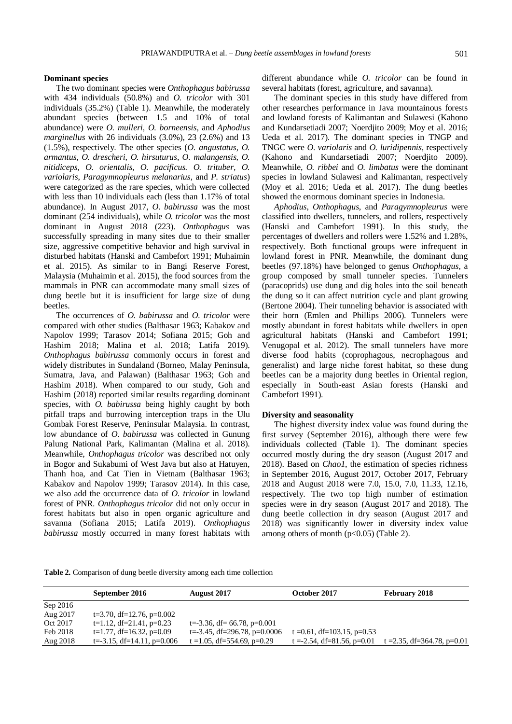## **Dominant species**

The two dominant species were *Onthophagus babirussa* with 434 individuals (50.8%) and *O. tricolor* with 301 individuals (35.2%) (Table 1). Meanwhile, the moderately abundant species (between 1.5 and 10% of total abundance) were *O. mulleri, O. borneensis,* and *Aphodius marginellus* with 26 individuals (3.0%), 23 (2.6%) and 13 (1.5%), respectively. The other species (*O. angustatus*, *O. armantus*, *O. drescheri, O. hirsuturus*, *O. malangensis, O. nitidiceps, O. orientalis*, *O. pacificus. O. trituber, O. variolaris*, *Paragymnopleurus melanarius,* and *P. striatus*) were categorized as the rare species, which were collected with less than 10 individuals each (less than 1.17% of total abundance). In August 2017, *O. babirussa* was the most dominant (254 individuals), while *O. tricolor* was the most dominant in August 2018 (223). *Onthophagus* was successfully spreading in many sites due to their smaller size, aggressive competitive behavior and high survival in disturbed habitats (Hanski and Cambefort 1991; Muhaimin et al. 2015). As similar to in Bangi Reserve Forest, Malaysia (Muhaimin et al. 2015), the food sources from the mammals in PNR can accommodate many small sizes of dung beetle but it is insufficient for large size of dung beetles.

The occurrences of *O. babirussa* and *O. tricolor* were compared with other studies (Balthasar 1963; Kabakov and Napolov 1999; Tarasov 2014; Sofiana 2015; Goh and Hashim 2018; Malina et al. 2018; Latifa 2019). *Onthophagus babirussa* commonly occurs in forest and widely distributes in Sundaland (Borneo, Malay Peninsula, Sumatra, Java, and Palawan) (Balthasar 1963; Goh and Hashim 2018). When compared to our study, Goh and Hashim (2018) reported similar results regarding dominant species, with *O. babirussa* being highly caught by both pitfall traps and burrowing interception traps in the Ulu Gombak Forest Reserve, Peninsular Malaysia. In contrast, low abundance of *O. babirussa* was collected in Gunung Palung National Park, Kalimantan (Malina et al. 2018). Meanwhile, *Onthophagus tricolor* was described not only in Bogor and Sukabumi of West Java but also at Hatuyen, Thanh hoa, and Cat Tien in Vietnam (Balthasar 1963; Kabakov and Napolov 1999; Tarasov 2014). In this case, we also add the occurrence data of *O. tricolor* in lowland forest of PNR. *Onthophagus tricolor* did not only occur in forest habitats but also in open organic agriculture and savanna (Sofiana 2015; Latifa 2019). *Onthophagus babirussa* mostly occurred in many forest habitats with

different abundance while *O. tricolor* can be found in several habitats (forest, agriculture, and savanna).

The dominant species in this study have differed from other researches performance in Java mountainous forests and lowland forests of Kalimantan and Sulawesi (Kahono and Kundarsetiadi 2007; Noerdjito 2009; Moy et al. 2016; Ueda et al. 2017). The dominant species in TNGP and TNGC were *O. variolaris* and *O. luridipennis*, respectively (Kahono and Kundarsetiadi 2007; Noerdjito 2009). Meanwhile, *O. ribbei* and *O. limbatus* were the dominant species in lowland Sulawesi and Kalimantan, respectively (Moy et al. 2016; Ueda et al. 2017). The dung beetles showed the enormous dominant species in Indonesia.

*Aphodius*, *Onthophagus*, and *Paragymnopleurus* were classified into dwellers, tunnelers, and rollers, respectively (Hanski and Cambefort 1991). In this study, the percentages of dwellers and rollers were 1.52% and 1.28%, respectively. Both functional groups were infrequent in lowland forest in PNR. Meanwhile, the dominant dung beetles (97.18%) have belonged to genus *Onthophagus*, a group composed by small tunneler species. Tunnelers (paracoprids) use dung and dig holes into the soil beneath the dung so it can affect nutrition cycle and plant growing (Bertone 2004). Their tunneling behavior is associated with their horn (Emlen and Phillips 2006). Tunnelers were mostly abundant in forest habitats while dwellers in open agricultural habitats (Hanski and Cambefort 1991; Venugopal et al. 2012). The small tunnelers have more diverse food habits (coprophagous, necrophagous and generalist) and large niche forest habitat, so these dung beetles can be a majority dung beetles in Oriental region, especially in South-east Asian forests (Hanski and Cambefort 1991).

## **Diversity and seasonality**

The highest diversity index value was found during the first survey (September 2016), although there were few individuals collected (Table 1). The dominant species occurred mostly during the dry season (August 2017 and 2018). Based on *Chao1*, the estimation of species richness in September 2016, August 2017, October 2017, February 2018 and August 2018 were 7.0, 15.0, 7.0, 11.33, 12.16, respectively. The two top high number of estimation species were in dry season (August 2017 and 2018). The dung beetle collection in dry season (August 2017 and 2018) was significantly lower in diversity index value among others of month  $(p<0.05)$  (Table 2).

**Table 2.** Comparison of dung beetle diversity among each time collection

|          | September 2016                  | August 2017                       | October 2017                  | February 2018                    |
|----------|---------------------------------|-----------------------------------|-------------------------------|----------------------------------|
| Sep 2016 |                                 |                                   |                               |                                  |
| Aug 2017 | $t=3.70$ , df=12.76, p=0.002    |                                   |                               |                                  |
| Oct 2017 | $t=1.12$ , df=21.41, p=0.23     | $t = -3.36$ , df = 66.78, p=0.001 |                               |                                  |
| Feb 2018 | $t=1.77$ , df=16.32, p=0.09     | $t = -3.45$ , df=296.78, p=0.0006 | t = 0.61, df = 103.15, p=0.53 |                                  |
| Aug 2018 | $t = -3.15$ , df=14.11, p=0.006 | t = 1.05, df = 554.69, p=0.29     | t = -2.54, df = 81.56, p=0.01 | t = 2.35, df = 364.78, p= $0.01$ |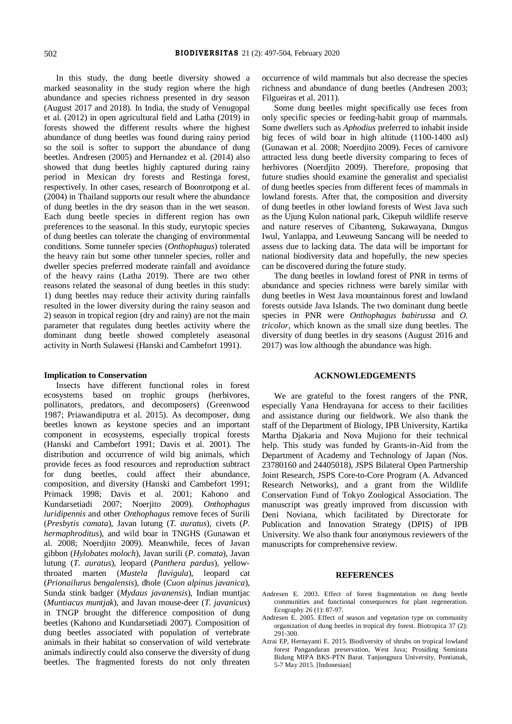In this study, the dung beetle diversity showed a marked seasonality in the study region where the high abundance and species richness presented in dry season (August 2017 and 2018). In India, the study of Venugopal et al. (2012) in open agricultural field and Latha (2019) in forests showed the different results where the highest abundance of dung beetles was found during rainy period so the soil is softer to support the abundance of dung beetles. Andresen (2005) and Hernandez et al. (2014) also showed that dung beetles highly captured during rainy period in Mexican dry forests and Restinga forest, respectively. In other cases, research of Boonrotpong et al. (2004) in Thailand supports our result where the abundance of dung beetles in the dry season than in the wet season. Each dung beetle species in different region has own preferences to the seasonal. In this study, eurytopic species of dung beetles can tolerate the changing of environmental conditions. Some tunneler species (*Onthophagus*) tolerated the heavy rain but some other tunneler species, roller and dweller species preferred moderate rainfall and avoidance of the heavy rains (Latha 2019). There are two other reasons related the seasonal of dung beetles in this study: 1) dung beetles may reduce their activity during rainfalls resulted in the lower diversity during the rainy season and 2) season in tropical region (dry and rainy) are not the main parameter that regulates dung beetles activity where the dominant dung beetle showed completely aseasonal activity in North Sulawesi (Hanski and Cambefort 1991).

#### **Implication to Conservation**

Insects have different functional roles in forest ecosystems based on trophic groups (herbivores, pollinators, predators, and decomposers) (Greenwood 1987; Priawandiputra et al. 2015). As decomposer, dung beetles known as keystone species and an important component in ecosystems, especially tropical forests (Hanski and Cambefort 1991; Davis et al. 2001). The distribution and occurrence of wild big animals, which provide feces as food resources and reproduction subtract for dung beetles, could affect their abundance, composition, and diversity (Hanski and Cambefort 1991; Primack 1998; Davis et al. 2001; Kahono and Kundarsetiadi 2007; Noerjito 2009). *Onthophagus luridipennis* and other *Onthophagus* remove feces of Surili (*Presbytis comata*), Javan lutung (*T. auratus*), civets (*P. hermaphroditus*), and wild boar in TNGHS (Gunawan et al. 2008; Noerdjito 2009). Meanwhile, feces of Javan gibbon (*Hylobates moloch*), Javan surili (*P. comata*), Javan lutung (*T. auratus*), leopard (*Panthera pardus*), yellowthroated marten (*Mustela flavigula*), leopard cat (*Prionailurus bengalensis*), dhole (*Cuon alpinus javanica*), Sunda stink badger (*Mydaus javanensis*), Indian muntjac (*Muntiacus muntjak*), and Javan mouse-deer (*T. javanicus*) in TNGP brought the difference composition of dung beetles (Kahono and Kundarsetiadi 2007). Composition of dung beetles associated with population of vertebrate animals in their habitat so conservation of wild vertebrate animals indirectly could also conserve the diversity of dung beetles. The fragmented forests do not only threaten

occurrence of wild mammals but also decrease the species richness and abundance of dung beetles (Andresen 2003; Filgueiras et al. 2011).

Some dung beetles might specifically use feces from only specific species or feeding-habit group of mammals. Some dwellers such as *Aphodius* preferred to inhabit inside big feces of wild boar in high altitude (1100-1400 asl) (Gunawan et al. 2008; Noerdjito 2009). Feces of carnivore attracted less dung beetle diversity comparing to feces of herbivores (Noerdjito 2009). Therefore, proposing that future studies should examine the generalist and specialist of dung beetles species from different feces of mammals in lowland forests. After that, the composition and diversity of dung beetles in other lowland forests of West Java such as the Ujung Kulon national park, Cikepuh wildlife reserve and nature reserves of Cibanteng, Sukawayana, Dungus Iwul, Yanlappa, and Leuweung Sancang will be needed to assess due to lacking data. The data will be important for national biodiversity data and hopefully, the new species can be discovered during the future study.

The dung beetles in lowland forest of PNR in terms of abundance and species richness were barely similar with dung beetles in West Java mountainous forest and lowland forests outside Java Islands. The two dominant dung beetle species in PNR were *Onthophagus babirussa* and *O. tricolor*, which known as the small size dung beetles. The diversity of dung beetles in dry seasons (August 2016 and 2017) was low although the abundance was high.

## **ACKNOWLEDGEMENTS**

We are grateful to the forest rangers of the PNR, especially Yana Hendrayana for access to their facilities and assistance during our fieldwork. We also thank the staff of the Department of Biology, IPB University, Kartika Martha Djakaria and Nova Mujiono for their technical help. This study was funded by Grants-in-Aid from the Department of Academy and Technology of Japan (Nos. 23780160 and 24405018), JSPS Bilateral Open Partnership Joint Research, JSPS Core-to-Core Program (A. Advanced Research Networks), and a grant from the Wildlife Conservation Fund of Tokyo Zoological Association. The manuscript was greatly improved from discussion with Deni Noviana, which facilitated by Directorate for Publication and Innovation Strategy (DPIS) of IPB University. We also thank four anonymous reviewers of the manuscripts for comprehensive review.

## **REFERENCES**

- Andresen E. 2003. Effect of forest fragmentation on dung beetle communities and functional consequences for plant regeneration. Ecography 26 (1): 87-97.
- Andresen E. 2005. Effect of season and vegetation type on community organization of dung beetles in tropical dry forest. Biotropica 37 (2): 291-300.
- Azrai EP, Hernayanti E. 2015. Biodiversity of shrubs on tropical lowland forest Pangandaran preservation, West Java; Prosiding Semirata Bidang MIPA BKS-PTN Barat. Tanjungpura University, Pontianak, 5-7 May 2015. [Indonesian]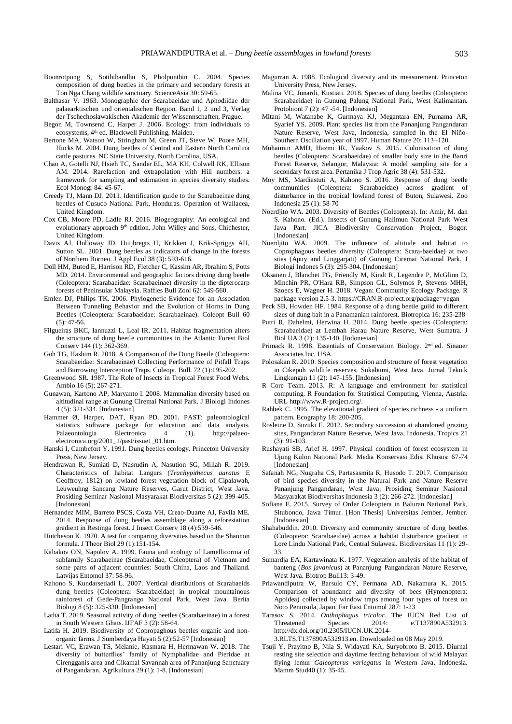- Boonrotpong S, Sotthibandhu S, Pholpunthin C. 2004. Species composition of dung beetles in the primary and secondary forests at Ton Nga Chang wildlife sanctuary. ScienceAsia 30: 59-65.
- Balthasar V. 1963. Monographie der Scarabaeidae und Aphodiidae der palaearktischen und orientalischen Region. Band 1, 2 und 3, Verlag der Tschechoslawakischen Akademie der Wissennschaften, Prague.
- Begon M, Townsend C, Harper J. 2006. Ecology: from individuals to ecosystems, 4<sup>th</sup> ed. Blackwell Publishing, Maiden.
- Bertone MA, Watson W, Stringham M, Green JT, Steve W, Poore MH, Hucks M. 2004. Dung beetles of Central and Eastern North Carolina cattle pastures. NC State University, North Carolina, USA.
- Chao A, Gotelli NJ, Hsieh TC, Sander EL, MA KH, Colwell RK, Ellison AM. 2014. Rarefaction and extrapolation with Hill numbers: a framework for sampling and estimation in species diversity studies. Ecol Monogr 84: 45-67.
- Creedy TJ, Mann DJ. 2011. Identification guide to the Scarabaeinae dung beetles of Cusuco National Park, Honduras. Operation of Wallacea, United Kingdom.
- Cox CB, Moore PD, Ladle RJ. 2016. Biogeography: An ecological and evolutionary approach 9<sup>th</sup> edition. John Willey and Sons, Chichester, United Kingdom.
- Davis AJ, Holloway JD, Huijbregts H, Krikken J, Krik-Spriggs AH, Sutton SL. 2001. Dung beetles as indicators of change in the forests of Northern Borneo. J Appl Ecol 38 (3): 593-616.
- Doll HM, Butod E, Harrison RD, Fletcher C, Kassim AR, Ibrahim S, Potts MD. 2014. Environmental and geographic factors driving dung beetle (Coleoptera: Scarabaeidae: Scarabaeinae) diversity in the dipterocarp forests of Peninsular Malaysia. Raffles Bull Zool 62: 549-560.
- Emlen DJ, Philips TK. 2006. Phylogenetic Evidence for an Association Between Tunneling Behavior and the Evolution of Horns in Dung Beetles (Coleoptera: Scarabaeidae: Scarabaeinae). Coleopt Bull 60 (5): 47-56.
- Filgueiras BKC, Iannuzzi L, Leal IR. 2011. Habitat fragmentation alters the structure of dung beetle communities in the Atlantic Forest Biol Conserv 144 (1): 362-369.
- Goh TG, Hashim R. 2018. A Comparison of the Dung Beetle (Coleoptera: Scarabaeidae: Scarabaeinae) Collecting Performance of Pitfall Traps and Burrowing Interception Traps. Coleopt. Bull. 72 (1):195-202.
- Greenwood SR. 1987. The Role of Insects in Tropical Forest Food Webs. Ambio 16 (5): 267-271.
- Gunawan, Kartono AP, Maryanto I. 2008. Mammalian diversity based on altitudinal range at Gunung Ciremai National Park. J Biologi Indones 4 (5): 321-334. [Indonesian]
- Hammer Ø, Harper, DAT, Ryan PD. 2001. PAST: paleontological statistics software package for education and data analysis. Palaeontologia Electronica 4 (1). [http://palaeo](http://palaeo-electronica.org/2001_1/past/issue1_01.htm)[electronica.org/2001\\_1/past/issue1\\_01.htm.](http://palaeo-electronica.org/2001_1/past/issue1_01.htm)
- Hanski I, Cambefort Y. 1991. Dung beetles ecology. Princeton University Press, New Jersey.
- Hendrawan R, Sumiati D, Nasrudin A, Nasution SG, Millah R. 2019. Characteristics of habitat Langurs (*Trachypithecus auratus* E Geoffroy, 1812) on lowland forest vegetation block of Cipalawah, Leuweuhng Sancang Nature Reserves, Garut District, West Java. Prosiding Seminar Nasional Masyarakat Biodiversitas 5 (2): 399-405. [Indonesian]
- Hernandez MIM, Barreto PSCS, Costa VH, Creao-Duarte AJ, Favila ME. 2014. Response of dung beetles assemblage along a reforestation gradient in Restinga forest. J Insect Conserv 18 (4):539-546.
- Hutcheson K. 1970. A test for comparing diversities based on the Shannon formula. J Theor Biol 29 (1):151-154.
- Kabakov ON, Napolov A. 1999. Fauna and ecology of Lamellicornia of subfamily Scarabaeinae (Scarabaeidae, Coleoptera) of Vietnam and some parts of adjacent countries: South China, Laos and Thailand. Latvijas Entomol 37: 58-96.
- Kahono S, Kundarsetiadi L. 2007. Vertical distributions of Scarabaeids dung beetles (Coleoptera: Scarabaeidae) in tropical mountainous rainforest of Gede-Pangrango National Park, West Java. Berita Biologi 8 (5): 325-330. [Indonesian]
- Latha T. 2019. Seasonal activity of dung beetles (Scarabaeinae) in a forest in South Western Ghats. IJFAF 3 (2): 58-64.
- Latifa H. 2019. Biodiversity of Copropaghous beetles organic and nonorganic farms. J Sumberdaya Hayati 5 (2):52-57 [Indonesian]
- Lestari VC, Erawan TS, Melanie, Kasmara H, Hermawan W. 2018. The diversity of butterflies' family of Nymphalidae and Pieridae at Cirengganis area and Cikamal Savannah area of Pananjung Sanctuary of Pangandaran. Agrikultura 29 (1): 1-8. [Indonesian]
- Magurran A. 1988. Ecological diversity and its measurement. Princeton University Press, New Jersey.
- Malina VC, Junardi, Kustiati. 2018. Species of dung beetles (Coleoptera: Scarabaeidae) in Gunung Palung National Park, West Kalimantan. Protobiont 7 (2): 47 -54. [Indonesian]
- Mitani M, Watanabe K, Gurmaya KJ, Megantara EN, Purnama AR, Syarief YS. 2009. Plant species list from the Pananjung Pangandaran Nature Reserve, West Java, Indonesia, sampled in the El Niño-Southern Oscillation year of 1997. Human Nature 20: 113−120.
- Muhaimin AMD, Hazmi IR, Yaakov S. 2015. Colonisation of dung beetles (Coleoptera: Scarabaeidae) of smaller body size in the Banri Forest Reserve, Selangor, Malaysia: A model sampling site for a secondary forest area. Pertanika J Trop Agric 38 (4): 531-532.
- Moy MS, Mardiastuti A, Kahono S. 2016. Response of dung beetle communities (Coleoptera: Scarabaeidae) across gradient of disturbance in the tropical lowland forest of Buton, Sulawesi. Zoo Indonesia 25 (1): 58-70
- Noerdjito WA. 2003. Diversity of Beetles (Coleoptera). In: Amir, M. dan S. Kahono. (Ed.). Insects of Gunung Halimun National Park West Java Part. JICA Biodiversity Conservation Project, Bogor. [Indonesian]
- Noerdjito WA. 2009. The influence of altitude and habitat to Coprophagous beetles diversity (Coleoptera: Scara-baeidae) at two sites (Apuy and Linggarjati) of Gunung Ciremai National Park. J Biologi Indones 5 (3): 295-304. [Indonesian]
- Oksanen J, Blanchet FG, Friendly M, Kindt R, Legendre P, McGlinn D, Minchin PR, O'Hara RB, Simpson GL, Solymos P, Stevens MHH, Szoecs E, Wagner H. 2018. Vegan: Community Ecology Package. R package version 2.5-3. https://CRAN.R-project.org/package=vegan
- Peck SB, Howden HF. 1984. Response of a dung beetle guild to different sizes of dung bait in a Panamanian rainforest. Biotropica 16: 235-238
- Putri R, Dahelmi, Herwina H. 2014. Dung beetle species (Coleoptera: Scarabaeidae) at Lembah Harau Nature Reserve, West Sumatra. J Biol UA 3 (2): 135-140. [Indonesian]
- Primack R. 1998. Essentials of Conservation Biology. 2<sup>nd</sup> ed. Sinauer Associates Inc, USA.
- Polosakan R. 2010. Species composition and structure of forest vegetation in Cikepuh wildlife reserves, Sukabumi, West Java. Jurnal Teknik Lingkungan 11 (2): 147-155. [Indonesian]
- R Core Team. 2013. R: A language and environment for statistical computing. R Foundation for Statistical Computing, Vienna, Austria. URL http://www.R-project.org/.
- Rahbek C. 1995. The elevational gradient of species richness a uniform pattern. Ecography 18: 200-205.
- Rosleine D, Suzuki E. 2012. Secondary succession at abandoned grazing sites, Pangandaran Nature Reserve, West Java, Indonesia. Tropics 21 (3): 91-103.
- Rushayati SB, Arief H. 1997. Physical condition of forest ecosystem in Ujung Kulon National Park. Media Konservasi Edisi Khusus: 67-74 [Indonesian]
- Safanah NG, Nugraha CS, Partasasmita R, Husodo T. 2017. Comparison of bird species diversity in the Natural Park and Nature Reserve Pananjung Pangandaran, West Java; Prosiding Seminar Nasional Masyarakat Biodiversitas Indonesia 3 (2): 266-272. [Indonesian]
- Sofiana E. 2015. Survey of Order Coleoptera in Baluran National Park, Situbondo, Jawa Timur. [Hon Thesis] Universitas Jember, Jember. [Indonesian]
- Shahabuddin. 2010. Diversity and community structure of dung beetles (Coleoptera: Scarabaeidae) across a habitat disturbance gradient in Lore Lindu National Park, Central Sulawesi. Biodiversitas 11 (1): 29- 33.
- Sumardja EA, Kartawinata K. 1977. Vegetation analysis of the habitat of banteng (*Bos javanicus*) at Pananjung Pangandaran Nature Reserve, West Java. Biotrop Bull13: 3-49.
- Priawandiputra W, Barsulo CY, Permana AD, Nakamura K. 2015. Comparison of abundance and diversity of bees (Hymenoptera: Apoidea) collected by window traps among four types of forest on Noto Peninsula, Japan. Far East Entomol 287: 1-23
- Tarasov S. 2014. *Onthophagus tricolor.* The IUCN Red List of Threatened Species 2014: e.T137890A532913. [http://dx.doi.org/10.2305/IUCN.UK.2014-](http://dx.doi.org/10.2305/IUCN.UK.2014-3.RLTS.T137890A532913.en)
	- [3.RLTS.T137890A532913.en.](http://dx.doi.org/10.2305/IUCN.UK.2014-3.RLTS.T137890A532913.en) Downloaded on 08 May 2019.
- Tsuji Y, Prayitno B, Nila S, Widayati KA, Suryobroto B. 2015. Diurnal resting site selection and daytime feeding behaviour of wild Malayan flying lemur *Galeopterus variegatus* in Western Java, Indonesia. Mamm Stud40 (1): 35-45.